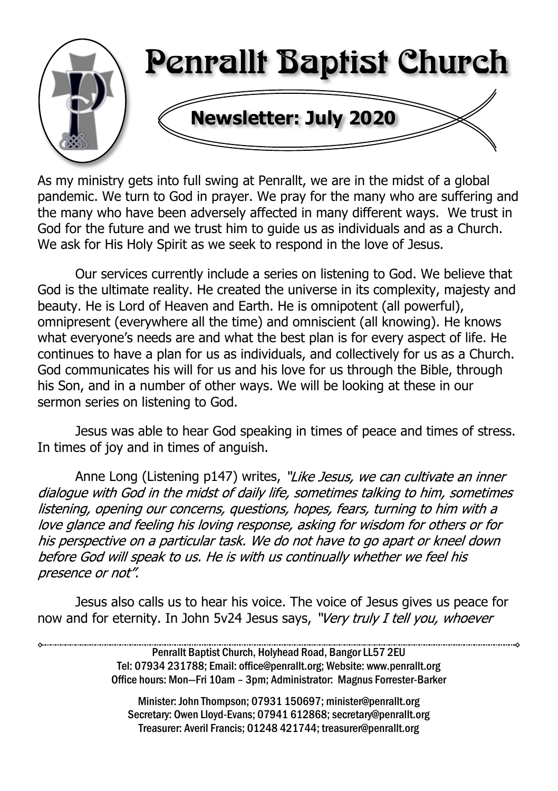

As my ministry gets into full swing at Penrallt, we are in the midst of a global pandemic. We turn to God in prayer. We pray for the many who are suffering and the many who have been adversely affected in many different ways. We trust in God for the future and we trust him to guide us as individuals and as a Church. We ask for His Holy Spirit as we seek to respond in the love of Jesus.

Our services currently include a series on listening to God. We believe that God is the ultimate reality. He created the universe in its complexity, majesty and beauty. He is Lord of Heaven and Earth. He is omnipotent (all powerful), omnipresent (everywhere all the time) and omniscient (all knowing). He knows what everyone's needs are and what the best plan is for every aspect of life. He continues to have a plan for us as individuals, and collectively for us as a Church. God communicates his will for us and his love for us through the Bible, through his Son, and in a number of other ways. We will be looking at these in our sermon series on listening to God.

Jesus was able to hear God speaking in times of peace and times of stress. In times of joy and in times of anguish.

Anne Long (Listening p147) writes, "Like Jesus, we can cultivate an inner dialoque with God in the midst of daily life, sometimes talking to him, sometimes listening, opening our concerns, questions, hopes, fears, turning to him with a love glance and feeling his loving response, asking for wisdom for others or for his perspective on a particular task. We do not have to go apart or kneel down before God will speak to us. He is with us continually whether we feel his presence or not".

Jesus also calls us to hear his voice. The voice of Jesus gives us peace for now and for eternity. In John 5v24 Jesus says, "Very truly I tell you, whoever

> Penrallt Baptist Church, Holyhead Road, Bangor LL57 2EU Tel: 07934 231788; Email: office@penrallt.org; Website: www.penrallt.org Office hours: Mon—Fri 10am – 3pm; Administrator: Magnus Forrester-Barker

Minister: John Thompson; 07931 150697; minister@penrallt.org Secretary: Owen Lloyd-Evans; 07941 612868; secretary@penrallt.org Treasurer: Averil Francis; 01248 421744; treasurer@penrallt.org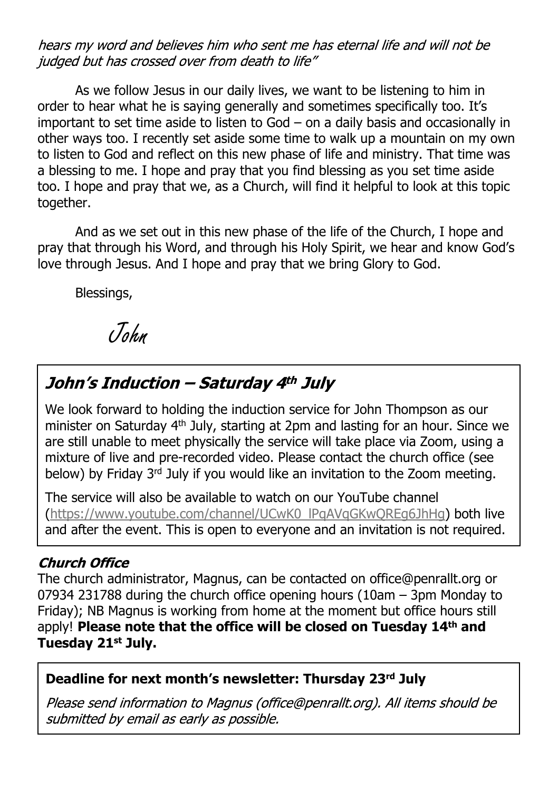hears my word and believes him who sent me has eternal life and will not be judged but has crossed over from death to life"

As we follow Jesus in our daily lives, we want to be listening to him in order to hear what he is saying generally and sometimes specifically too. It's important to set time aside to listen to God – on a daily basis and occasionally in other ways too. I recently set aside some time to walk up a mountain on my own to listen to God and reflect on this new phase of life and ministry. That time was a blessing to me. I hope and pray that you find blessing as you set time aside too. I hope and pray that we, as a Church, will find it helpful to look at this topic together.

And as we set out in this new phase of the life of the Church, I hope and pray that through his Word, and through his Holy Spirit, we hear and know God's love through Jesus. And I hope and pray that we bring Glory to God.

Blessings,

John

# John's Induction - Saturday 4th July

We look forward to holding the induction service for John Thompson as our minister on Saturday 4th July, starting at 2pm and lasting for an hour. Since we are still unable to meet physically the service will take place via Zoom, using a mixture of live and pre-recorded video. Please contact the church office (see below) by Friday 3rd July if you would like an invitation to the Zoom meeting.

The service will also be available to watch on our YouTube channel ([https://www.youtube.com/channel/UCwK0\\_lPqAVqGKwQREg6JhHg\)](https://www.youtube.com/channel/UCwK0_lPqAVqGKwQREg6JhHg) both live and after the event. This is open to everyone and an invitation is not required.

#### **Church Office**

The church administrator, Magnus, can be contacted on office@penrallt.org or 07934 231788 during the church office opening hours (10am – 3pm Monday to Friday); NB Magnus is working from home at the moment but office hours still apply! **Please note that the office will be closed on Tuesday 14th and Tuesday 21st July.**

#### **Deadline for next month's newsletter: Thursday 23rd July**

Please send information to Magnus (office@penrallt.org). All items should be submitted by email as early as possible.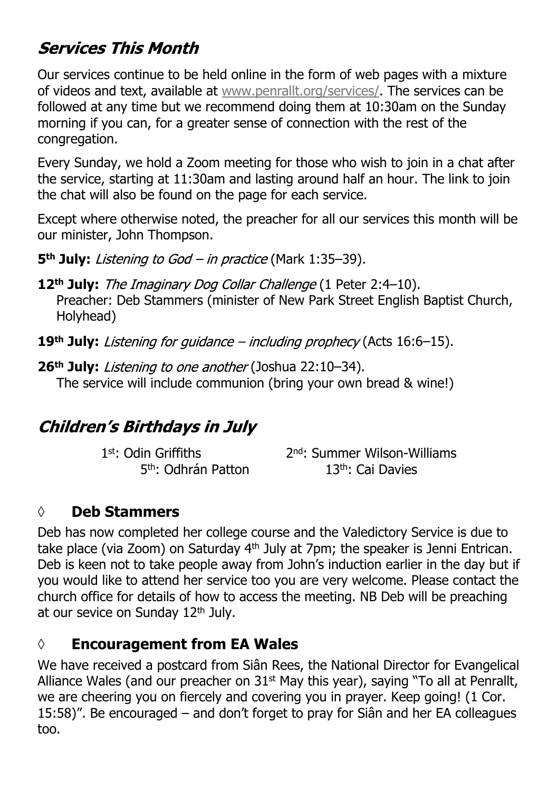# **Services This Month**

Our services continue to be held online in the form of web pages with a mixture of videos and text, available at [www.penrallt.org/services/](https://www.penrallt.org/services/index.php). The services can be followed at any time but we recommend doing them at 10:30am on the Sunday morning if you can, for a greater sense of connection with the rest of the congregation.

Every Sunday, we hold a Zoom meeting for those who wish to join in a chat after the service, starting at 11:30am and lasting around half an hour. The link to join the chat will also be found on the page for each service.

Except where otherwise noted, the preacher for all our services this month will be our minister, John Thompson.

**5<sup>th</sup> July:** *Listening to God – in practice* (Mark 1:35–39).

**12<sup>th</sup> July:** The Imaginary Dog Collar Challenge (1 Peter 2:4–10). Preacher: Deb Stammers (minister of New Park Street English Baptist Church, Holyhead)

19<sup>th</sup> July: Listening for guidance - including prophecy (Acts 16:6-15).

26<sup>th</sup> July: *Listening to one another* (Joshua 22:10-34). The service will include communion (bring your own bread & wine!)

#### **Children's Birthdays in July**

1st: Odin Griffiths 2<sup>nd</sup>: Summer Wilson-Williams 5 th: Odhrán Patton 13th: Cai Davies

#### **◊ Deb Stammers**

Deb has now completed her college course and the Valedictory Service is due to take place (via Zoom) on Saturday 4th July at 7pm; the speaker is Jenni Entrican. Deb is keen not to take people away from John's induction earlier in the day but if you would like to attend her service too you are very welcome. Please contact the church office for details of how to access the meeting. NB Deb will be preaching at our sevice on Sunday 12<sup>th</sup> July.

#### **◊ Encouragement from EA Wales**

We have received a postcard from Siân Rees, the National Director for Evangelical Alliance Wales (and our preacher on 31st May this year), saying "To all at Penrallt, we are cheering you on fiercely and covering you in prayer. Keep going! (1 Cor. 15:58)". Be encouraged – and don't forget to pray for Siân and her EA colleagues too.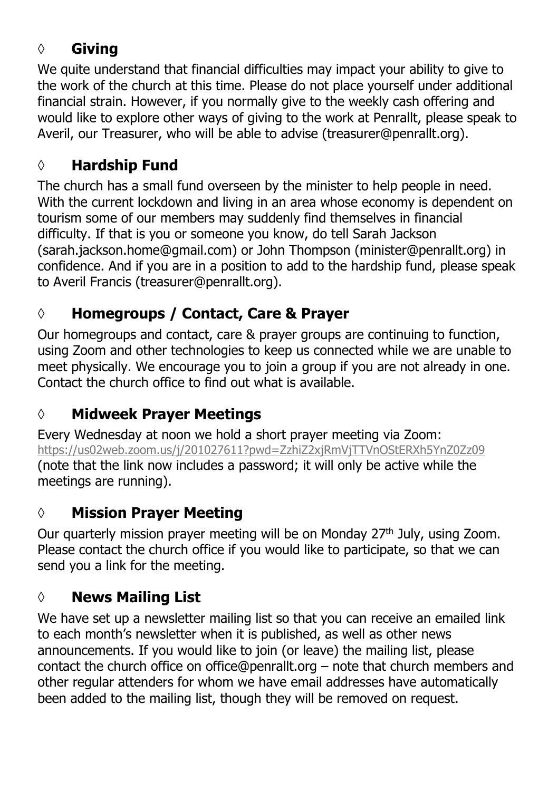#### **◊ Giving**

We quite understand that financial difficulties may impact your ability to give to the work of the church at this time. Please do not place yourself under additional financial strain. However, if you normally give to the weekly cash offering and would like to explore other ways of giving to the work at Penrallt, please speak to Averil, our Treasurer, who will be able to advise (treasurer@penrallt.org).

# **◊ Hardship Fund**

The church has a small fund overseen by the minister to help people in need. With the current lockdown and living in an area whose economy is dependent on tourism some of our members may suddenly find themselves in financial difficulty. If that is you or someone you know, do tell Sarah Jackson (sarah.jackson.home@gmail.com) or John Thompson (minister@penrallt.org) in confidence. And if you are in a position to add to the hardship fund, please speak to Averil Francis (treasurer@penrallt.org).

# **◊ Homegroups / Contact, Care & Prayer**

Our homegroups and contact, care & prayer groups are continuing to function, using Zoom and other technologies to keep us connected while we are unable to meet physically. We encourage you to join a group if you are not already in one. Contact the church office to find out what is available.

# **◊ Midweek Prayer Meetings**

Every Wednesday at noon we hold a short prayer meeting via Zoom: <https://us02web.zoom.us/j/201027611?pwd=ZzhiZ2xjRmVjTTVnOStERXh5YnZ0Zz09> (note that the link now includes a password; it will only be active while the meetings are running).

# **◊ Mission Prayer Meeting**

Our quarterly mission prayer meeting will be on Monday 27<sup>th</sup> July, using Zoom. Please contact the church office if you would like to participate, so that we can send you a link for the meeting.

# **◊ News Mailing List**

We have set up a newsletter mailing list so that you can receive an emailed link to each month's newsletter when it is published, as well as other news announcements. If you would like to join (or leave) the mailing list, please contact the church office on office@penrallt.org – note that church members and other regular attenders for whom we have email addresses have automatically been added to the mailing list, though they will be removed on request.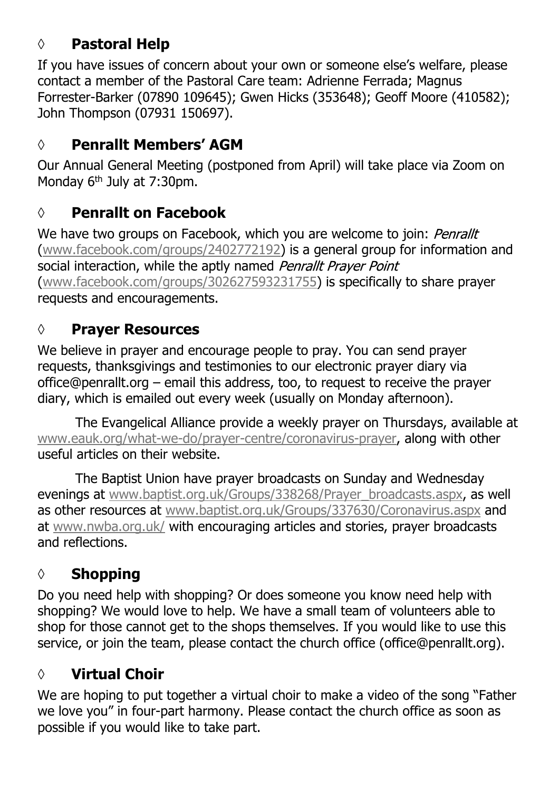#### **◊ Pastoral Help**

If you have issues of concern about your own or someone else's welfare, please contact a member of the Pastoral Care team: Adrienne Ferrada; Magnus Forrester-Barker (07890 109645); Gwen Hicks (353648); Geoff Moore (410582); John Thompson (07931 150697).

# **◊ Penrallt Members' AGM**

Our Annual General Meeting (postponed from April) will take place via Zoom on Monday 6<sup>th</sup> July at 7:30pm.

## **◊ Penrallt on Facebook**

We have two groups on Facebook, which you are welcome to join: Penrallt [\(www.facebook.com/groups/2402772192](https://www.facebook.com/groups/2402772192)) is a general group for information and social interaction, while the aptly named Penrallt Prayer Point [\(www.facebook.com/groups/302627593231755](https://www.facebook.com/groups/302627593231755)) is specifically to share prayer requests and encouragements.

# **◊ Prayer Resources**

We believe in prayer and encourage people to pray. You can send prayer requests, thanksgivings and testimonies to our electronic prayer diary via office@penrallt.org – email this address, too, to request to receive the prayer diary, which is emailed out every week (usually on Monday afternoon).

The Evangelical Alliance provide a weekly prayer on Thursdays, available at [www.eauk.org/what-we-do/prayer-centre/coronavirus-prayer](https://www.eauk.org/what-we-do/prayer-centre/coronavirus-prayer), along with other useful articles on their website.

The Baptist Union have prayer broadcasts on Sunday and Wednesday evenings at [www.baptist.org.uk/Groups/338268/Prayer\\_broadcasts.aspx](https://www.baptist.org.uk/Groups/338268/Prayer_broadcasts.aspx), as well as other resources at [www.baptist.org.uk/Groups/337630/Coronavirus.aspx](https://www.baptist.org.uk/Groups/337630/Coronavirus.aspx) and at [www.nwba.org.uk/](http://www.nwba.org.uk/) with encouraging articles and stories, prayer broadcasts and reflections.

# **◊ Shopping**

Do you need help with shopping? Or does someone you know need help with shopping? We would love to help. We have a small team of volunteers able to shop for those cannot get to the shops themselves. If you would like to use this service, or join the team, please contact the church office (office@penrallt.org).

# **◊ Virtual Choir**

We are hoping to put together a virtual choir to make a video of the song "Father we love you" in four-part harmony. Please contact the church office as soon as possible if you would like to take part.